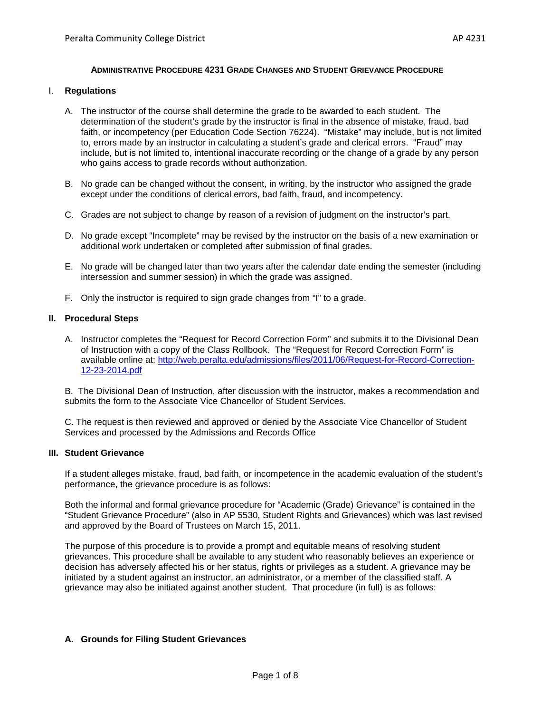## **ADMINISTRATIVE PROCEDURE 4231 GRADE CHANGES AND STUDENT GRIEVANCE PROCEDURE**

### I. **Regulations**

- A. The instructor of the course shall determine the grade to be awarded to each student. The determination of the student's grade by the instructor is final in the absence of mistake, fraud, bad faith, or incompetency (per Education Code Section 76224). "Mistake" may include, but is not limited to, errors made by an instructor in calculating a student's grade and clerical errors. "Fraud" may include, but is not limited to, intentional inaccurate recording or the change of a grade by any person who gains access to grade records without authorization.
- B. No grade can be changed without the consent, in writing, by the instructor who assigned the grade except under the conditions of clerical errors, bad faith, fraud, and incompetency.
- C. Grades are not subject to change by reason of a revision of judgment on the instructor's part.
- D. No grade except "Incomplete" may be revised by the instructor on the basis of a new examination or additional work undertaken or completed after submission of final grades.
- E. No grade will be changed later than two years after the calendar date ending the semester (including intersession and summer session) in which the grade was assigned.
- F. Only the instructor is required to sign grade changes from "I" to a grade.

## **II. Procedural Steps**

A. Instructor completes the "Request for Record Correction Form" and submits it to the Divisional Dean of Instruction with a copy of the Class Rollbook. The "Request for Record Correction Form" is available online at: [http://web.peralta.edu/admissions/files/2011/06/Request-for-Record-Correction-](https://mail.peralta.edu/owa/redir.aspx?SURL=cMqvSKgtRnKZ4EtSdCj5vtrIS2Cotmq_6daGbNkGhmJ0r7XYkz7SCGgAdAB0AHAAOgAvAC8AdwBlAGIALgBwAGUAcgBhAGwAdABhAC4AZQBkAHUALwBhAGQAbQBpAHMAcwBpAG8AbgBzAC8AZgBpAGwAZQBzAC8AMgAwADEAMQAvADAANgAvAFIAZQBxAHUAZQBzAHQALQBmAG8AcgAtAFIAZQBjAG8AcgBkAC0AQwBvAHIAcgBlAGMAdABpAG8AbgAtADEAMgAtADIAMwAtADIAMAAxADQALgBwAGQAZgA.&URL=http%3a%2f%2fweb.peralta.edu%2fadmissions%2ffiles%2f2011%2f06%2fRequest-for-Record-Correction-12-23-2014.pdf)[12-23-2014.pdf](https://mail.peralta.edu/owa/redir.aspx?SURL=cMqvSKgtRnKZ4EtSdCj5vtrIS2Cotmq_6daGbNkGhmJ0r7XYkz7SCGgAdAB0AHAAOgAvAC8AdwBlAGIALgBwAGUAcgBhAGwAdABhAC4AZQBkAHUALwBhAGQAbQBpAHMAcwBpAG8AbgBzAC8AZgBpAGwAZQBzAC8AMgAwADEAMQAvADAANgAvAFIAZQBxAHUAZQBzAHQALQBmAG8AcgAtAFIAZQBjAG8AcgBkAC0AQwBvAHIAcgBlAGMAdABpAG8AbgAtADEAMgAtADIAMwAtADIAMAAxADQALgBwAGQAZgA.&URL=http%3a%2f%2fweb.peralta.edu%2fadmissions%2ffiles%2f2011%2f06%2fRequest-for-Record-Correction-12-23-2014.pdf)

B. The Divisional Dean of Instruction, after discussion with the instructor, makes a recommendation and submits the form to the Associate Vice Chancellor of Student Services.

C. The request is then reviewed and approved or denied by the Associate Vice Chancellor of Student Services and processed by the Admissions and Records Office

### **III. Student Grievance**

If a student alleges mistake, fraud, bad faith, or incompetence in the academic evaluation of the student's performance, the grievance procedure is as follows:

Both the informal and formal grievance procedure for "Academic (Grade) Grievance" is contained in the "Student Grievance Procedure" (also in AP 5530, Student Rights and Grievances) which was last revised and approved by the Board of Trustees on March 15, 2011.

The purpose of this procedure is to provide a prompt and equitable means of resolving student grievances. This procedure shall be available to any student who reasonably believes an experience or decision has adversely affected his or her status, rights or privileges as a student. A grievance may be initiated by a student against an instructor, an administrator, or a member of the classified staff. A grievance may also be initiated against another student. That procedure (in full) is as follows:

## **A. Grounds for Filing Student Grievances**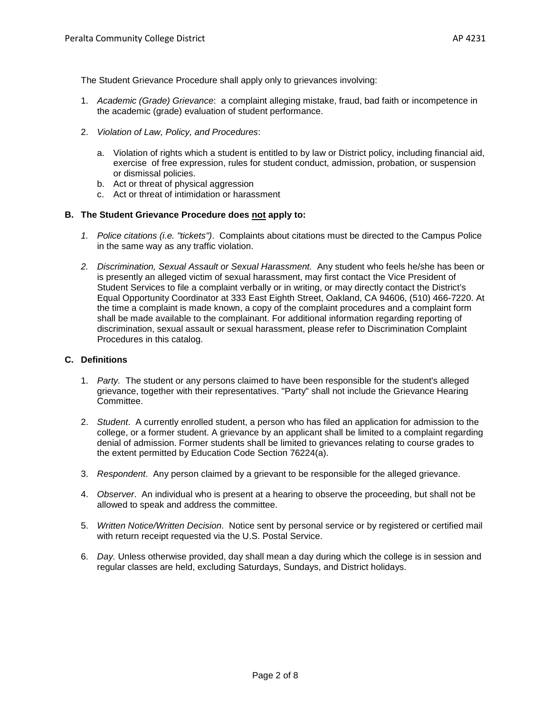The Student Grievance Procedure shall apply only to grievances involving:

- 1. *Academic (Grade) Grievance*: a complaint alleging mistake, fraud, bad faith or incompetence in the academic (grade) evaluation of student performance.
- 2. *Violation of Law, Policy, and Procedures*:
	- a. Violation of rights which a student is entitled to by law or District policy, including financial aid, exercise of free expression, rules for student conduct, admission, probation, or suspension or dismissal policies.
	- b. Act or threat of physical aggression
	- c. Act or threat of intimidation or harassment

## **B. The Student Grievance Procedure does not apply to:**

- *1. Police citations (i.e. "tickets")*. Complaints about citations must be directed to the Campus Police in the same way as any traffic violation.
- *2. Discrimination, Sexual Assault or Sexual Harassment.* Any student who feels he/she has been or is presently an alleged victim of sexual harassment, may first contact the Vice President of Student Services to file a complaint verbally or in writing, or may directly contact the District's Equal Opportunity Coordinator at 333 East Eighth Street, Oakland, CA 94606, (510) 466-7220. At the time a complaint is made known, a copy of the complaint procedures and a complaint form shall be made available to the complainant. For additional information regarding reporting of discrimination, sexual assault or sexual harassment, please refer to Discrimination Complaint Procedures in this catalog.

### **C. Definitions**

- 1. *Party.* The student or any persons claimed to have been responsible for the student's alleged grievance, together with their representatives. "Party" shall not include the Grievance Hearing Committee.
- 2. *Student*. A currently enrolled student, a person who has filed an application for admission to the college, or a former student. A grievance by an applicant shall be limited to a complaint regarding denial of admission. Former students shall be limited to grievances relating to course grades to the extent permitted by Education Code Section 76224(a).
- 3. *Respondent*. Any person claimed by a grievant to be responsible for the alleged grievance.
- 4. *Observer*. An individual who is present at a hearing to observe the proceeding, but shall not be allowed to speak and address the committee.
- 5. *Written Notice/Written Decision*. Notice sent by personal service or by registered or certified mail with return receipt requested via the U.S. Postal Service.
- 6. *Day.* Unless otherwise provided, day shall mean a day during which the college is in session and regular classes are held, excluding Saturdays, Sundays, and District holidays.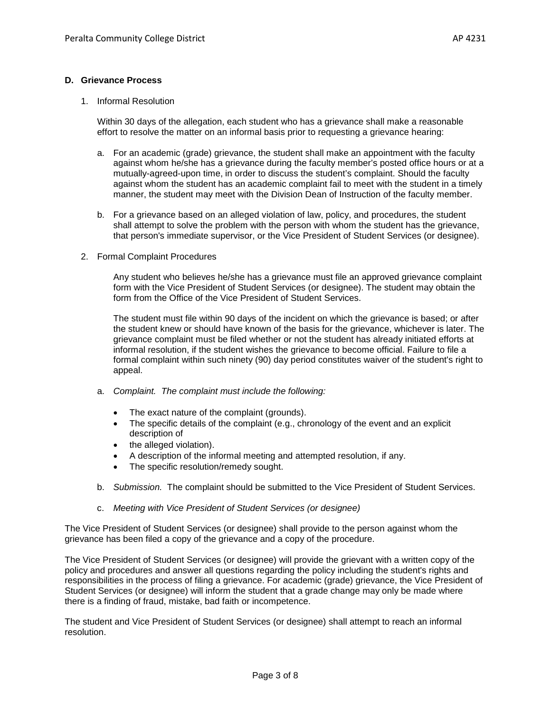### **D. Grievance Process**

1. Informal Resolution

Within 30 days of the allegation, each student who has a grievance shall make a reasonable effort to resolve the matter on an informal basis prior to requesting a grievance hearing:

- a. For an academic (grade) grievance, the student shall make an appointment with the faculty against whom he/she has a grievance during the faculty member's posted office hours or at a mutually-agreed-upon time, in order to discuss the student's complaint. Should the faculty against whom the student has an academic complaint fail to meet with the student in a timely manner, the student may meet with the Division Dean of Instruction of the faculty member.
- b. For a grievance based on an alleged violation of law, policy, and procedures, the student shall attempt to solve the problem with the person with whom the student has the grievance, that person's immediate supervisor, or the Vice President of Student Services (or designee).
- 2. Formal Complaint Procedures

Any student who believes he/she has a grievance must file an approved grievance complaint form with the Vice President of Student Services (or designee). The student may obtain the form from the Office of the Vice President of Student Services.

The student must file within 90 days of the incident on which the grievance is based; or after the student knew or should have known of the basis for the grievance, whichever is later. The grievance complaint must be filed whether or not the student has already initiated efforts at informal resolution, if the student wishes the grievance to become official. Failure to file a formal complaint within such ninety (90) day period constitutes waiver of the student's right to appeal.

- a. *Complaint. The complaint must include the following:*
	- The exact nature of the complaint (grounds).
	- The specific details of the complaint (e.g., chronology of the event and an explicit description of
	- the alleged violation).
	- A description of the informal meeting and attempted resolution, if any.
	- The specific resolution/remedy sought.
- b. *Submission.* The complaint should be submitted to the Vice President of Student Services.
- c. *Meeting with Vice President of Student Services (or designee)*

The Vice President of Student Services (or designee) shall provide to the person against whom the grievance has been filed a copy of the grievance and a copy of the procedure.

The Vice President of Student Services (or designee) will provide the grievant with a written copy of the policy and procedures and answer all questions regarding the policy including the student's rights and responsibilities in the process of filing a grievance. For academic (grade) grievance, the Vice President of Student Services (or designee) will inform the student that a grade change may only be made where there is a finding of fraud, mistake, bad faith or incompetence.

The student and Vice President of Student Services (or designee) shall attempt to reach an informal resolution.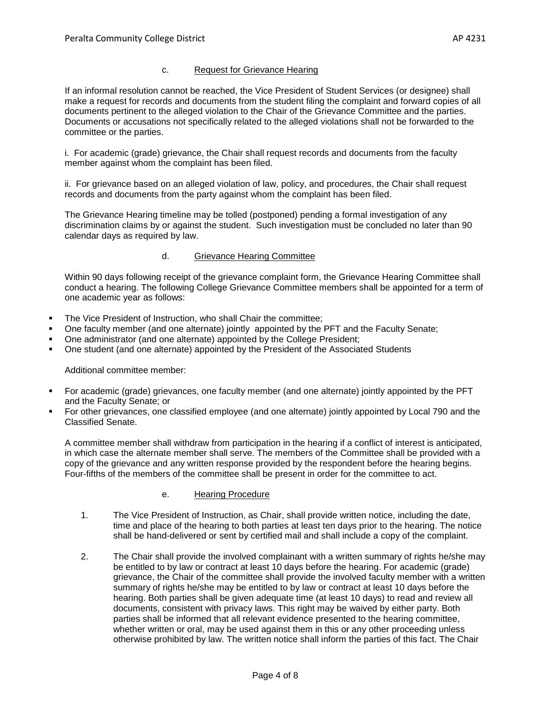## c. Request for Grievance Hearing

If an informal resolution cannot be reached, the Vice President of Student Services (or designee) shall make a request for records and documents from the student filing the complaint and forward copies of all documents pertinent to the alleged violation to the Chair of the Grievance Committee and the parties. Documents or accusations not specifically related to the alleged violations shall not be forwarded to the committee or the parties.

i. For academic (grade) grievance, the Chair shall request records and documents from the faculty member against whom the complaint has been filed.

ii. For grievance based on an alleged violation of law, policy, and procedures, the Chair shall request records and documents from the party against whom the complaint has been filed.

The Grievance Hearing timeline may be tolled (postponed) pending a formal investigation of any discrimination claims by or against the student. Such investigation must be concluded no later than 90 calendar days as required by law.

## d. Grievance Hearing Committee

Within 90 days following receipt of the grievance complaint form, the Grievance Hearing Committee shall conduct a hearing. The following College Grievance Committee members shall be appointed for a term of one academic year as follows:

- The Vice President of Instruction, who shall Chair the committee;
- One faculty member (and one alternate) jointly appointed by the PFT and the Faculty Senate;
- One administrator (and one alternate) appointed by the College President;
- One student (and one alternate) appointed by the President of the Associated Students

Additional committee member:

- For academic (grade) grievances, one faculty member (and one alternate) jointly appointed by the PFT and the Faculty Senate; or
- For other grievances, one classified employee (and one alternate) jointly appointed by Local 790 and the Classified Senate.

A committee member shall withdraw from participation in the hearing if a conflict of interest is anticipated, in which case the alternate member shall serve. The members of the Committee shall be provided with a copy of the grievance and any written response provided by the respondent before the hearing begins. Four-fifths of the members of the committee shall be present in order for the committee to act.

## e. Hearing Procedure

- 1. The Vice President of Instruction, as Chair, shall provide written notice, including the date, time and place of the hearing to both parties at least ten days prior to the hearing. The notice shall be hand-delivered or sent by certified mail and shall include a copy of the complaint.
- 2. The Chair shall provide the involved complainant with a written summary of rights he/she may be entitled to by law or contract at least 10 days before the hearing. For academic (grade) grievance, the Chair of the committee shall provide the involved faculty member with a written summary of rights he/she may be entitled to by law or contract at least 10 days before the hearing. Both parties shall be given adequate time (at least 10 days) to read and review all documents, consistent with privacy laws. This right may be waived by either party. Both parties shall be informed that all relevant evidence presented to the hearing committee, whether written or oral, may be used against them in this or any other proceeding unless otherwise prohibited by law. The written notice shall inform the parties of this fact. The Chair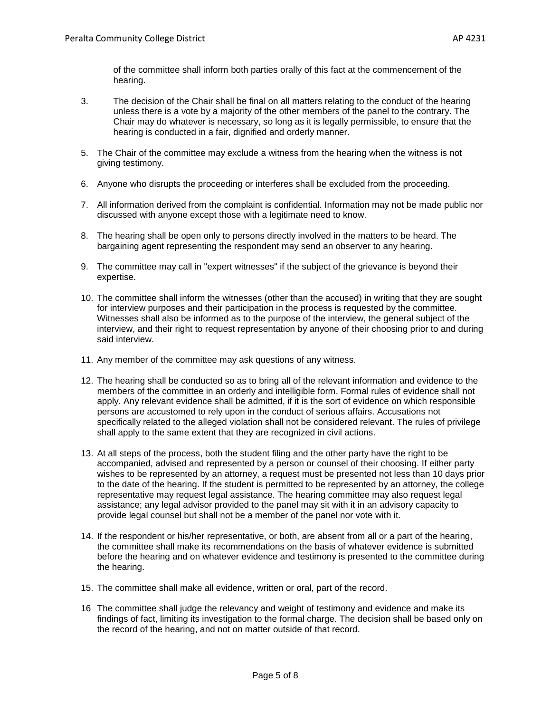of the committee shall inform both parties orally of this fact at the commencement of the hearing.

- 3. The decision of the Chair shall be final on all matters relating to the conduct of the hearing unless there is a vote by a majority of the other members of the panel to the contrary. The Chair may do whatever is necessary, so long as it is legally permissible, to ensure that the hearing is conducted in a fair, dignified and orderly manner.
- 5. The Chair of the committee may exclude a witness from the hearing when the witness is not giving testimony.
- 6. Anyone who disrupts the proceeding or interferes shall be excluded from the proceeding.
- 7. All information derived from the complaint is confidential. Information may not be made public nor discussed with anyone except those with a legitimate need to know.
- 8. The hearing shall be open only to persons directly involved in the matters to be heard. The bargaining agent representing the respondent may send an observer to any hearing.
- 9. The committee may call in "expert witnesses" if the subject of the grievance is beyond their expertise.
- 10. The committee shall inform the witnesses (other than the accused) in writing that they are sought for interview purposes and their participation in the process is requested by the committee. Witnesses shall also be informed as to the purpose of the interview, the general subject of the interview, and their right to request representation by anyone of their choosing prior to and during said interview.
- 11. Any member of the committee may ask questions of any witness.
- 12. The hearing shall be conducted so as to bring all of the relevant information and evidence to the members of the committee in an orderly and intelligible form. Formal rules of evidence shall not apply. Any relevant evidence shall be admitted, if it is the sort of evidence on which responsible persons are accustomed to rely upon in the conduct of serious affairs. Accusations not specifically related to the alleged violation shall not be considered relevant. The rules of privilege shall apply to the same extent that they are recognized in civil actions.
- 13. At all steps of the process, both the student filing and the other party have the right to be accompanied, advised and represented by a person or counsel of their choosing. If either party wishes to be represented by an attorney, a request must be presented not less than 10 days prior to the date of the hearing. If the student is permitted to be represented by an attorney, the college representative may request legal assistance. The hearing committee may also request legal assistance; any legal advisor provided to the panel may sit with it in an advisory capacity to provide legal counsel but shall not be a member of the panel nor vote with it.
- 14. If the respondent or his/her representative, or both, are absent from all or a part of the hearing, the committee shall make its recommendations on the basis of whatever evidence is submitted before the hearing and on whatever evidence and testimony is presented to the committee during the hearing.
- 15. The committee shall make all evidence, written or oral, part of the record.
- 16 The committee shall judge the relevancy and weight of testimony and evidence and make its findings of fact, limiting its investigation to the formal charge. The decision shall be based only on the record of the hearing, and not on matter outside of that record.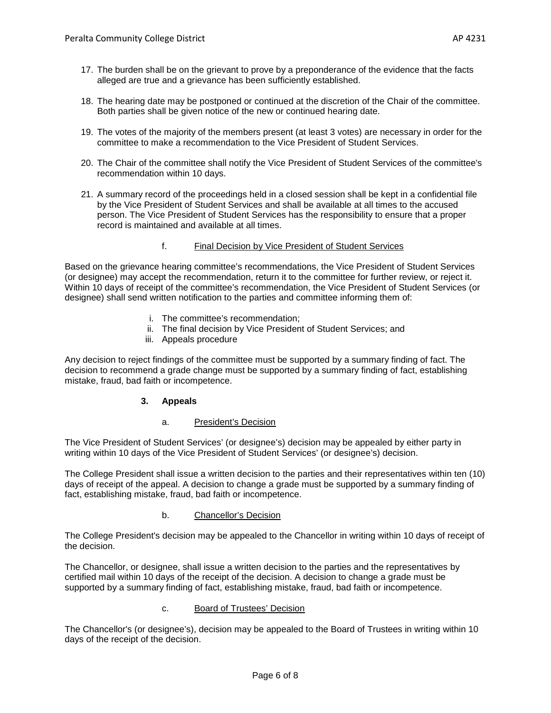- 17. The burden shall be on the grievant to prove by a preponderance of the evidence that the facts alleged are true and a grievance has been sufficiently established.
- 18. The hearing date may be postponed or continued at the discretion of the Chair of the committee. Both parties shall be given notice of the new or continued hearing date.
- 19. The votes of the majority of the members present (at least 3 votes) are necessary in order for the committee to make a recommendation to the Vice President of Student Services.
- 20. The Chair of the committee shall notify the Vice President of Student Services of the committee's recommendation within 10 days.
- 21. A summary record of the proceedings held in a closed session shall be kept in a confidential file by the Vice President of Student Services and shall be available at all times to the accused person. The Vice President of Student Services has the responsibility to ensure that a proper record is maintained and available at all times.

## f. Final Decision by Vice President of Student Services

Based on the grievance hearing committee's recommendations, the Vice President of Student Services (or designee) may accept the recommendation, return it to the committee for further review, or reject it. Within 10 days of receipt of the committee's recommendation, the Vice President of Student Services (or designee) shall send written notification to the parties and committee informing them of:

- i. The committee's recommendation;
- ii. The final decision by Vice President of Student Services; and
- iii. Appeals procedure

Any decision to reject findings of the committee must be supported by a summary finding of fact. The decision to recommend a grade change must be supported by a summary finding of fact, establishing mistake, fraud, bad faith or incompetence.

## **3. Appeals**

### a. President's Decision

The Vice President of Student Services' (or designee's) decision may be appealed by either party in writing within 10 days of the Vice President of Student Services' (or designee's) decision.

The College President shall issue a written decision to the parties and their representatives within ten (10) days of receipt of the appeal. A decision to change a grade must be supported by a summary finding of fact, establishing mistake, fraud, bad faith or incompetence.

### b. Chancellor's Decision

The College President's decision may be appealed to the Chancellor in writing within 10 days of receipt of the decision.

The Chancellor, or designee, shall issue a written decision to the parties and the representatives by certified mail within 10 days of the receipt of the decision. A decision to change a grade must be supported by a summary finding of fact, establishing mistake, fraud, bad faith or incompetence.

### c. Board of Trustees' Decision

The Chancellor's (or designee's), decision may be appealed to the Board of Trustees in writing within 10 days of the receipt of the decision.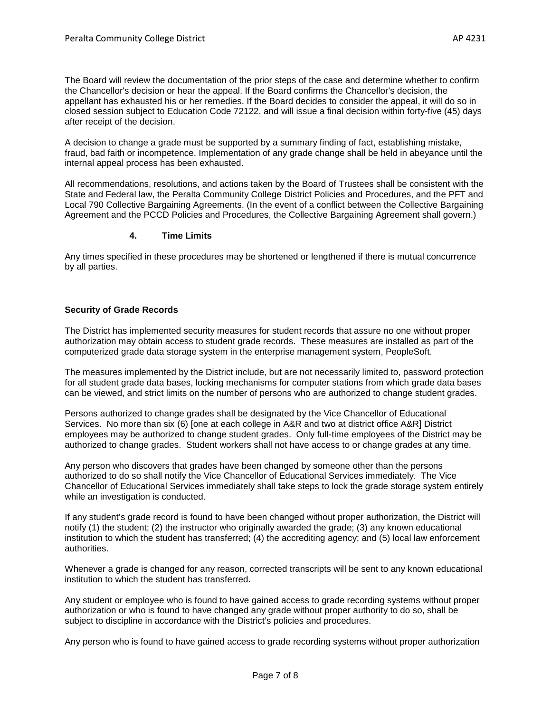The Board will review the documentation of the prior steps of the case and determine whether to confirm the Chancellor's decision or hear the appeal. If the Board confirms the Chancellor's decision, the appellant has exhausted his or her remedies. If the Board decides to consider the appeal, it will do so in closed session subject to Education Code 72122, and will issue a final decision within forty-five (45) days after receipt of the decision.

A decision to change a grade must be supported by a summary finding of fact, establishing mistake, fraud, bad faith or incompetence. Implementation of any grade change shall be held in abeyance until the internal appeal process has been exhausted.

All recommendations, resolutions, and actions taken by the Board of Trustees shall be consistent with the State and Federal law, the Peralta Community College District Policies and Procedures, and the PFT and Local 790 Collective Bargaining Agreements. (In the event of a conflict between the Collective Bargaining Agreement and the PCCD Policies and Procedures, the Collective Bargaining Agreement shall govern.)

## **4. Time Limits**

Any times specified in these procedures may be shortened or lengthened if there is mutual concurrence by all parties.

# **Security of Grade Records**

The District has implemented security measures for student records that assure no one without proper authorization may obtain access to student grade records. These measures are installed as part of the computerized grade data storage system in the enterprise management system, PeopleSoft.

The measures implemented by the District include, but are not necessarily limited to, password protection for all student grade data bases, locking mechanisms for computer stations from which grade data bases can be viewed, and strict limits on the number of persons who are authorized to change student grades.

Persons authorized to change grades shall be designated by the Vice Chancellor of Educational Services. No more than six (6) [one at each college in A&R and two at district office A&R] District employees may be authorized to change student grades. Only full-time employees of the District may be authorized to change grades. Student workers shall not have access to or change grades at any time.

Any person who discovers that grades have been changed by someone other than the persons authorized to do so shall notify the Vice Chancellor of Educational Services immediately. The Vice Chancellor of Educational Services immediately shall take steps to lock the grade storage system entirely while an investigation is conducted.

If any student's grade record is found to have been changed without proper authorization, the District will notify (1) the student; (2) the instructor who originally awarded the grade; (3) any known educational institution to which the student has transferred; (4) the accrediting agency; and (5) local law enforcement authorities.

Whenever a grade is changed for any reason, corrected transcripts will be sent to any known educational institution to which the student has transferred.

Any student or employee who is found to have gained access to grade recording systems without proper authorization or who is found to have changed any grade without proper authority to do so, shall be subject to discipline in accordance with the District's policies and procedures.

Any person who is found to have gained access to grade recording systems without proper authorization